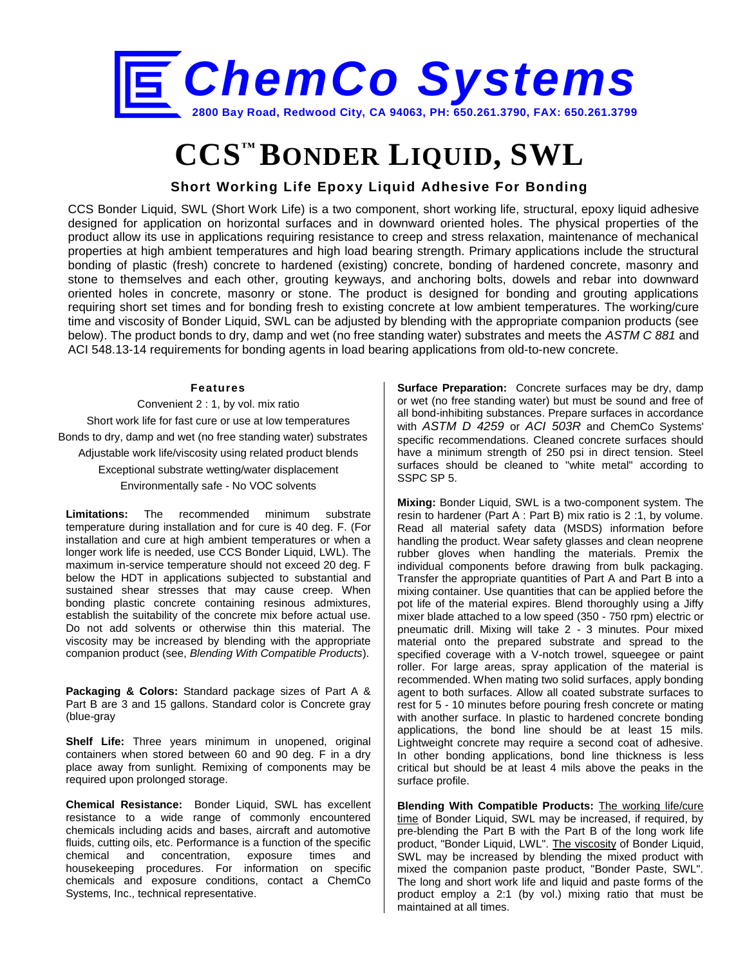

# **CCS™ BONDER LIQUID, SWL**

## **Short Working Life Epoxy Liquid Adhesive For Bonding**

CCS Bonder Liquid, SWL (Short Work Life) is a two component, short working life, structural, epoxy liquid adhesive designed for application on horizontal surfaces and in downward oriented holes. The physical properties of the product allow its use in applications requiring resistance to creep and stress relaxation, maintenance of mechanical properties at high ambient temperatures and high load bearing strength. Primary applications include the structural bonding of plastic (fresh) concrete to hardened (existing) concrete, bonding of hardened concrete, masonry and stone to themselves and each other, grouting keyways, and anchoring bolts, dowels and rebar into downward oriented holes in concrete, masonry or stone. The product is designed for bonding and grouting applications requiring short set times and for bonding fresh to existing concrete at low ambient temperatures. The working/cure time and viscosity of Bonder Liquid, SWL can be adjusted by blending with the appropriate companion products (see below). The product bonds to dry, damp and wet (no free standing water) substrates and meets the *ASTM C 881* and ACI 548.13-14 requirements for bonding agents in load bearing applications from old-to-new concrete.

#### **Features**

Convenient 2 : 1, by vol. mix ratio Short work life for fast cure or use at low temperatures Bonds to dry, damp and wet (no free standing water) substrates Adjustable work life/viscosity using related product blends Exceptional substrate wetting/water displacement Environmentally safe - No VOC solvents

**Limitations:** The recommended minimum substrate temperature during installation and for cure is 40 deg. F. (For installation and cure at high ambient temperatures or when a longer work life is needed, use CCS Bonder Liquid, LWL). The maximum in-service temperature should not exceed 20 deg. F below the HDT in applications subjected to substantial and sustained shear stresses that may cause creep. When bonding plastic concrete containing resinous admixtures, establish the suitability of the concrete mix before actual use. Do not add solvents or otherwise thin this material. The viscosity may be increased by blending with the appropriate companion product (see, *Blending With Compatible Products*).

**Packaging & Colors:** Standard package sizes of Part A & Part B are 3 and 15 gallons. Standard color is Concrete gray (blue-gray

**Shelf Life:** Three years minimum in unopened, original containers when stored between 60 and 90 deg. F in a dry place away from sunlight. Remixing of components may be required upon prolonged storage.

**Chemical Resistance:** Bonder Liquid, SWL has excellent resistance to a wide range of commonly encountered chemicals including acids and bases, aircraft and automotive fluids, cutting oils, etc. Performance is a function of the specific chemical and concentration, exposure times and housekeeping procedures. For information on specific chemicals and exposure conditions, contact a ChemCo Systems, Inc., technical representative.

**Surface Preparation:** Concrete surfaces may be dry, damp or wet (no free standing water) but must be sound and free of all bond-inhibiting substances. Prepare surfaces in accordance with *ASTM D 4259* or *ACI 503R* and ChemCo Systems' specific recommendations. Cleaned concrete surfaces should have a minimum strength of 250 psi in direct tension. Steel surfaces should be cleaned to "white metal" according to SSPC SP 5.

**Mixing:** Bonder Liquid, SWL is a two-component system. The resin to hardener (Part A : Part B) mix ratio is 2 :1, by volume. Read all material safety data (MSDS) information before handling the product. Wear safety glasses and clean neoprene rubber gloves when handling the materials. Premix the individual components before drawing from bulk packaging. Transfer the appropriate quantities of Part A and Part B into a mixing container. Use quantities that can be applied before the pot life of the material expires. Blend thoroughly using a Jiffy mixer blade attached to a low speed (350 - 750 rpm) electric or pneumatic drill. Mixing will take 2 - 3 minutes. Pour mixed material onto the prepared substrate and spread to the specified coverage with a V-notch trowel, squeegee or paint roller. For large areas, spray application of the material is recommended. When mating two solid surfaces, apply bonding agent to both surfaces. Allow all coated substrate surfaces to rest for 5 - 10 minutes before pouring fresh concrete or mating with another surface. In plastic to hardened concrete bonding applications, the bond line should be at least 15 mils. Lightweight concrete may require a second coat of adhesive. In other bonding applications, bond line thickness is less critical but should be at least 4 mils above the peaks in the surface profile.

**Blending With Compatible Products:** The working life/cure time of Bonder Liquid, SWL may be increased, if required, by pre-blending the Part B with the Part B of the long work life product, "Bonder Liquid, LWL". The viscosity of Bonder Liquid, SWL may be increased by blending the mixed product with mixed the companion paste product, "Bonder Paste, SWL". The long and short work life and liquid and paste forms of the product employ a 2:1 (by vol.) mixing ratio that must be maintained at all times.